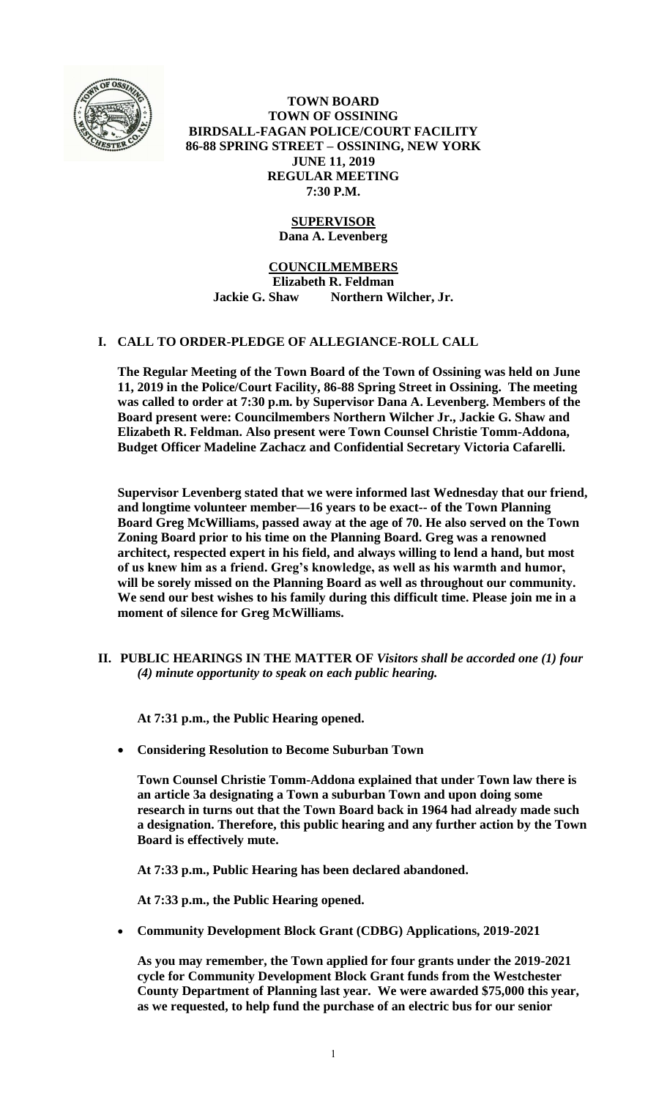

**TOWN BOARD TOWN OF OSSINING BIRDSALL-FAGAN POLICE/COURT FACILITY 86-88 SPRING STREET – OSSINING, NEW YORK JUNE 11, 2019 REGULAR MEETING 7:30 P.M.**

# **SUPERVISOR**

**Dana A. Levenberg**

### **COUNCILMEMBERS**

**Elizabeth R. Feldman Jackie G. Shaw Northern Wilcher, Jr.**

# **I. CALL TO ORDER-PLEDGE OF ALLEGIANCE-ROLL CALL**

**The Regular Meeting of the Town Board of the Town of Ossining was held on June 11, 2019 in the Police/Court Facility, 86-88 Spring Street in Ossining. The meeting was called to order at 7:30 p.m. by Supervisor Dana A. Levenberg. Members of the Board present were: Councilmembers Northern Wilcher Jr., Jackie G. Shaw and Elizabeth R. Feldman. Also present were Town Counsel Christie Tomm-Addona, Budget Officer Madeline Zachacz and Confidential Secretary Victoria Cafarelli.**

**Supervisor Levenberg stated that we were informed last Wednesday that our friend, and longtime volunteer member—16 years to be exact-- of the Town Planning Board Greg McWilliams, passed away at the age of 70. He also served on the Town Zoning Board prior to his time on the Planning Board. Greg was a renowned architect, respected expert in his field, and always willing to lend a hand, but most of us knew him as a friend. Greg's knowledge, as well as his warmth and humor, will be sorely missed on the Planning Board as well as throughout our community. We send our best wishes to his family during this difficult time. Please join me in a moment of silence for Greg McWilliams.**

**II. PUBLIC HEARINGS IN THE MATTER OF** *Visitors shall be accorded one (1) four (4) minute opportunity to speak on each public hearing.*

**At 7:31 p.m., the Public Hearing opened.** 

**Considering Resolution to Become Suburban Town**

**Town Counsel Christie Tomm-Addona explained that under Town law there is an article 3a designating a Town a suburban Town and upon doing some research in turns out that the Town Board back in 1964 had already made such a designation. Therefore, this public hearing and any further action by the Town Board is effectively mute.** 

**At 7:33 p.m., Public Hearing has been declared abandoned.**

**At 7:33 p.m., the Public Hearing opened.** 

**Community Development Block Grant (CDBG) Applications, 2019-2021**

**As you may remember, the Town applied for four grants under the 2019-2021 cycle for Community Development Block Grant funds from the Westchester County Department of Planning last year. We were awarded \$75,000 this year, as we requested, to help fund the purchase of an electric bus for our senior**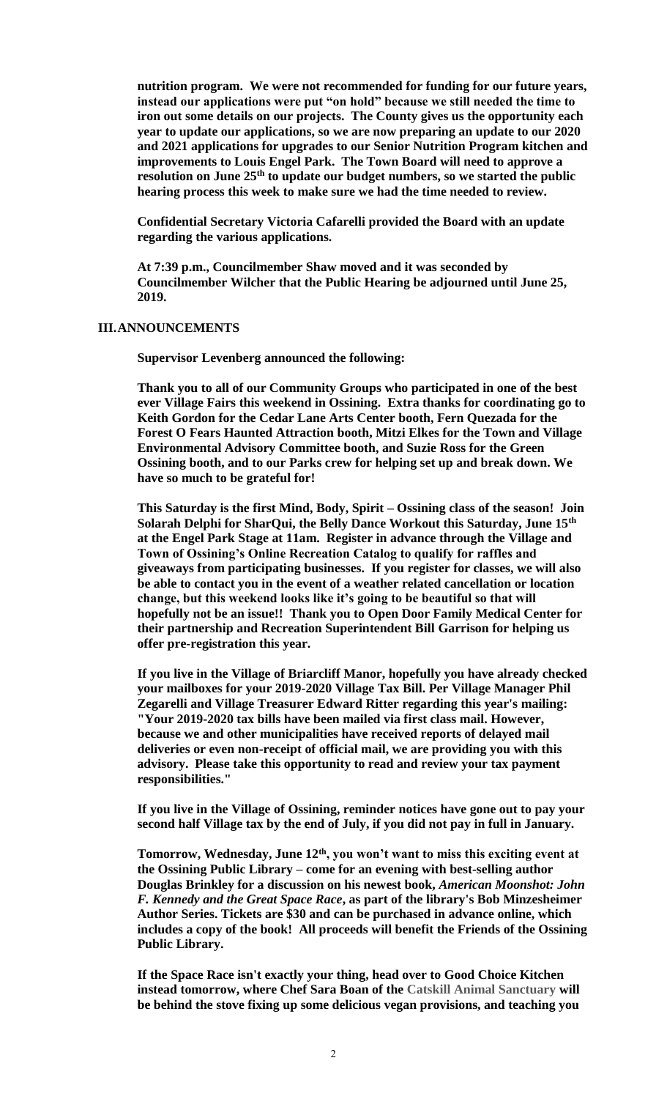**nutrition program. We were not recommended for funding for our future years, instead our applications were put "on hold" because we still needed the time to iron out some details on our projects. The County gives us the opportunity each year to update our applications, so we are now preparing an update to our 2020 and 2021 applications for upgrades to our Senior Nutrition Program kitchen and improvements to Louis Engel Park. The Town Board will need to approve a resolution on June 25th to update our budget numbers, so we started the public hearing process this week to make sure we had the time needed to review.** 

**Confidential Secretary Victoria Cafarelli provided the Board with an update regarding the various applications.**

**At 7:39 p.m., Councilmember Shaw moved and it was seconded by Councilmember Wilcher that the Public Hearing be adjourned until June 25, 2019.**

#### **III.ANNOUNCEMENTS**

**Supervisor Levenberg announced the following:**

**Thank you to all of our Community Groups who participated in one of the best ever Village Fairs this weekend in Ossining. Extra thanks for coordinating go to Keith Gordon for the Cedar Lane Arts Center booth, Fern Quezada for the Forest O Fears Haunted Attraction booth, Mitzi Elkes for the Town and Village Environmental Advisory Committee booth, and Suzie Ross for the Green Ossining booth, and to our Parks crew for helping set up and break down. We have so much to be grateful for!** 

**This Saturday is the first Mind, Body, Spirit – Ossining class of the season! Join Solarah Delphi for SharQui, the Belly Dance Workout this Saturday, June 15th at the Engel Park Stage at 11am. Register in advance through the Village and Town of Ossining's Online Recreation Catalog to qualify for raffles and giveaways from participating businesses. If you register for classes, we will also be able to contact you in the event of a weather related cancellation or location change, but this weekend looks like it's going to be beautiful so that will hopefully not be an issue!! Thank you to Open Door Family Medical Center for their partnership and Recreation Superintendent Bill Garrison for helping us offer pre-registration this year.** 

**If you live in the Village of Briarcliff Manor, hopefully you have already checked your mailboxes for your 2019-2020 Village Tax Bill. Per Village Manager Phil Zegarelli and Village Treasurer Edward Ritter regarding this year's mailing: "Your 2019-2020 tax bills have been mailed via first class mail. However, because we and other municipalities have received reports of delayed mail deliveries or even non-receipt of official mail, we are providing you with this advisory. Please take this opportunity to read and review your tax payment responsibilities."** 

**If you live in the Village of Ossining, reminder notices have gone out to pay your second half Village tax by the end of July, if you did not pay in full in January.** 

**Tomorrow, Wednesday, June 12th, you won't want to miss this exciting event at the Ossining Public Library – come for an evening with best-selling author Douglas Brinkley for a discussion on his newest book,** *American Moonshot: John F. Kennedy and the Great Space Race***, as part of the library's Bob Minzesheimer Author Series. Tickets are \$30 and can be purchased in advance online, which includes a copy of the book! All proceeds will benefit the Friends of the Ossining Public Library.**

**If the Space Race isn't exactly your thing, head over to Good Choice Kitchen instead tomorrow, where Chef Sara Boan of the Catskill Animal Sanctuary will be behind the stove fixing up some delicious vegan provisions, and teaching you**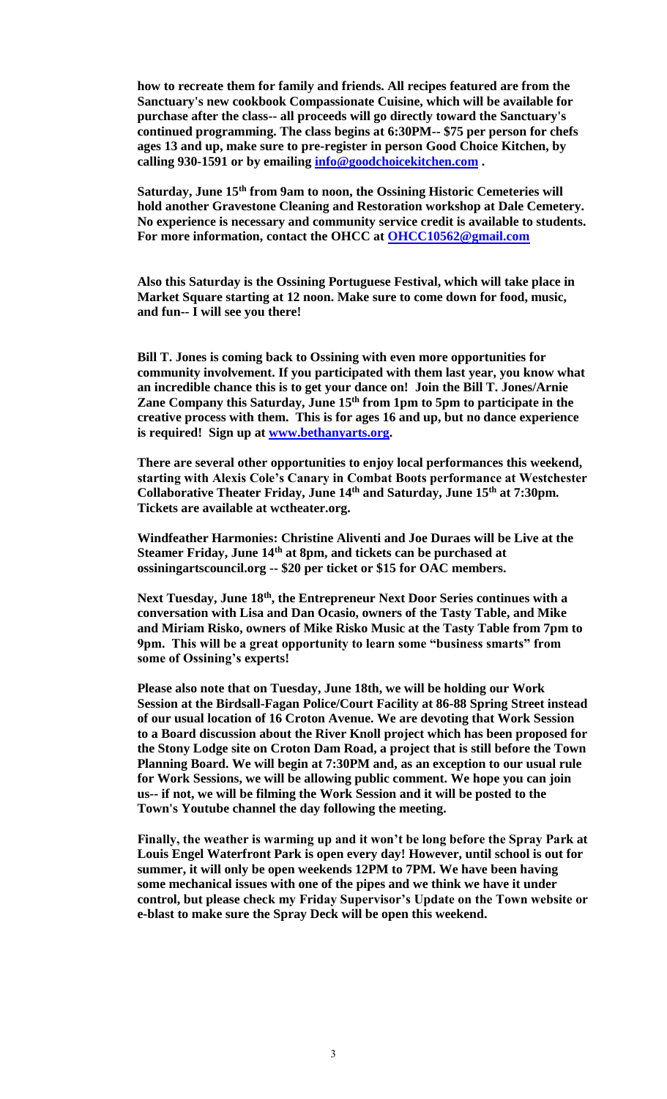**how to recreate them for family and friends. All recipes featured are from the Sanctuary's new cookbook Compassionate Cuisine, which will be available for purchase after the class-- all proceeds will go directly toward the Sanctuary's continued programming. The class begins at 6:30PM-- \$75 per person for chefs ages 13 and up, make sure to pre-register in person Good Choice Kitchen, by calling 930-1591 or by emailing [info@goodchoicekitchen.com](mailto:info@goodchoicekitchen.com) .**

**Saturday, June 15th from 9am to noon, the Ossining Historic Cemeteries will hold another Gravestone Cleaning and Restoration workshop at Dale Cemetery. No experience is necessary and community service credit is available to students. For more information, contact the OHCC at [OHCC10562@gmail.com](mailto:OHCC10562@gmail.com)**

**Also this Saturday is the Ossining Portuguese Festival, which will take place in Market Square starting at 12 noon. Make sure to come down for food, music, and fun-- I will see you there!** 

**Bill T. Jones is coming back to Ossining with even more opportunities for community involvement. If you participated with them last year, you know what an incredible chance this is to get your dance on! Join the Bill T. Jones/Arnie Zane Company this Saturday, June 15 th from 1pm to 5pm to participate in the creative process with them. This is for ages 16 and up, but no dance experience is required! Sign up at [www.bethanyarts.org.](http://www.bethanyarts.org/)** 

**There are several other opportunities to enjoy local performances this weekend, starting with Alexis Cole's Canary in Combat Boots performance at Westchester Collaborative Theater Friday, June 14th and Saturday, June 15th at 7:30pm. Tickets are available at wctheater.org.** 

**Windfeather Harmonies: Christine Aliventi and Joe Duraes will be Live at the Steamer Friday, June 14th at 8pm, and tickets can be purchased at ossiningartscouncil.org -- \$20 per ticket or \$15 for OAC members.** 

**Next Tuesday, June 18th, the Entrepreneur Next Door Series continues with a conversation with Lisa and Dan Ocasio, owners of the Tasty Table, and Mike and Miriam Risko, owners of Mike Risko Music at the Tasty Table from 7pm to 9pm. This will be a great opportunity to learn some "business smarts" from some of Ossining's experts!**

**Please also note that on Tuesday, June 18th, we will be holding our Work Session at the Birdsall-Fagan Police/Court Facility at 86-88 Spring Street instead of our usual location of 16 Croton Avenue. We are devoting that Work Session to a Board discussion about the River Knoll project which has been proposed for the Stony Lodge site on Croton Dam Road, a project that is still before the Town Planning Board. We will begin at 7:30PM and, as an exception to our usual rule for Work Sessions, we will be allowing public comment. We hope you can join us-- if not, we will be filming the Work Session and it will be posted to the Town's Youtube channel the day following the meeting.**

**Finally, the weather is warming up and it won't be long before the Spray Park at Louis Engel Waterfront Park is open every day! However, until school is out for summer, it will only be open weekends 12PM to 7PM. We have been having some mechanical issues with one of the pipes and we think we have it under control, but please check my Friday Supervisor's Update on the Town website or e-blast to make sure the Spray Deck will be open this weekend.**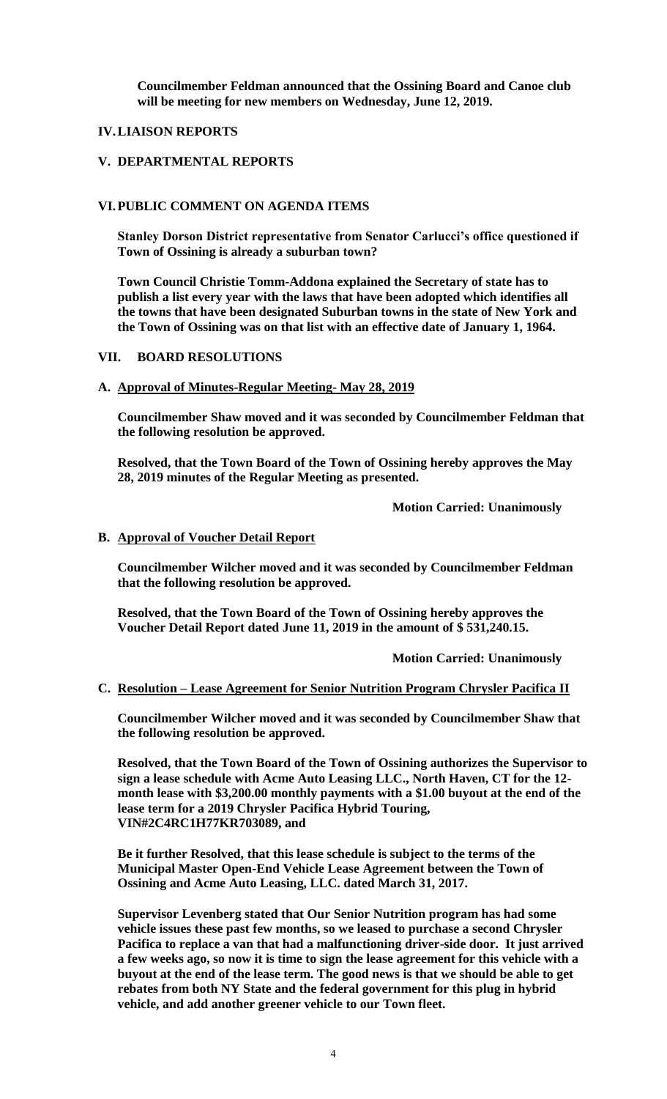**Councilmember Feldman announced that the Ossining Board and Canoe club will be meeting for new members on Wednesday, June 12, 2019.** 

### **IV.LIAISON REPORTS**

### **V. DEPARTMENTAL REPORTS**

### **VI.PUBLIC COMMENT ON AGENDA ITEMS**

**Stanley Dorson District representative from Senator Carlucci's office questioned if Town of Ossining is already a suburban town?**

**Town Council Christie Tomm-Addona explained the Secretary of state has to publish a list every year with the laws that have been adopted which identifies all the towns that have been designated Suburban towns in the state of New York and the Town of Ossining was on that list with an effective date of January 1, 1964.** 

### **VII. BOARD RESOLUTIONS**

### **A. Approval of Minutes-Regular Meeting- May 28, 2019**

**Councilmember Shaw moved and it was seconded by Councilmember Feldman that the following resolution be approved.**

**Resolved, that the Town Board of the Town of Ossining hereby approves the May 28, 2019 minutes of the Regular Meeting as presented.**

**Motion Carried: Unanimously**

### **B. Approval of Voucher Detail Report**

**Councilmember Wilcher moved and it was seconded by Councilmember Feldman that the following resolution be approved.**

**Resolved, that the Town Board of the Town of Ossining hereby approves the Voucher Detail Report dated June 11, 2019 in the amount of \$ 531,240.15.**

**Motion Carried: Unanimously**

#### **C. Resolution – Lease Agreement for Senior Nutrition Program Chrysler Pacifica II**

**Councilmember Wilcher moved and it was seconded by Councilmember Shaw that the following resolution be approved.**

**Resolved, that the Town Board of the Town of Ossining authorizes the Supervisor to sign a lease schedule with Acme Auto Leasing LLC., North Haven, CT for the 12 month lease with \$3,200.00 monthly payments with a \$1.00 buyout at the end of the lease term for a 2019 Chrysler Pacifica Hybrid Touring, VIN#2C4RC1H77KR703089, and** 

**Be it further Resolved, that this lease schedule is subject to the terms of the Municipal Master Open-End Vehicle Lease Agreement between the Town of Ossining and Acme Auto Leasing, LLC. dated March 31, 2017.** 

**Supervisor Levenberg stated that Our Senior Nutrition program has had some vehicle issues these past few months, so we leased to purchase a second Chrysler Pacifica to replace a van that had a malfunctioning driver-side door. It just arrived a few weeks ago, so now it is time to sign the lease agreement for this vehicle with a buyout at the end of the lease term. The good news is that we should be able to get rebates from both NY State and the federal government for this plug in hybrid vehicle, and add another greener vehicle to our Town fleet.**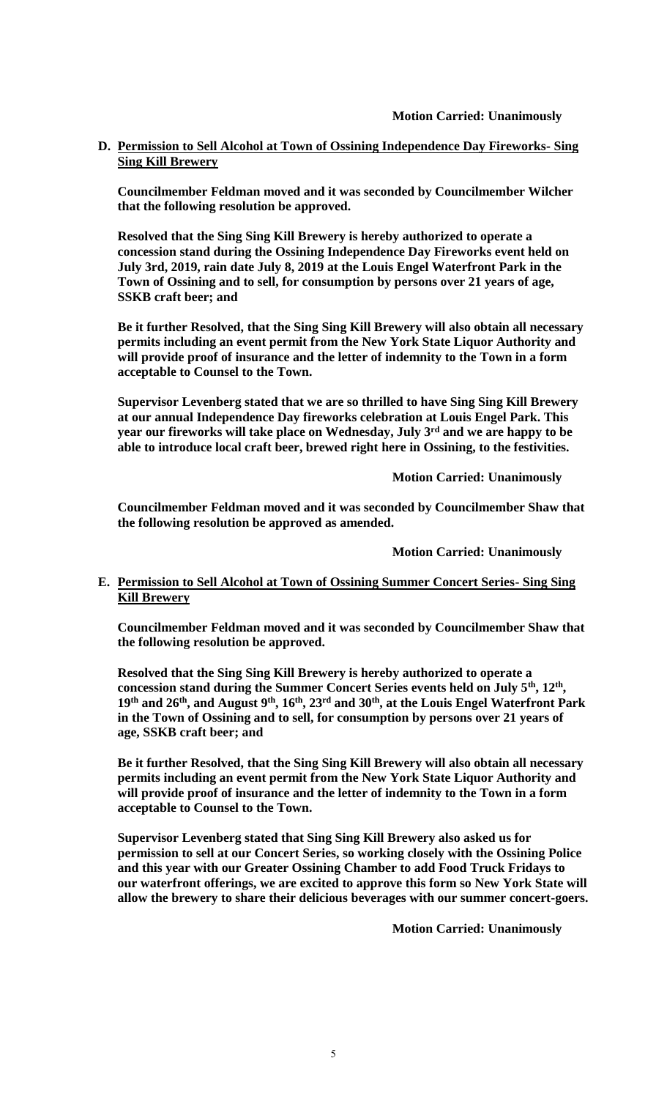# **D. Permission to Sell Alcohol at Town of Ossining Independence Day Fireworks- Sing Sing Kill Brewery**

**Councilmember Feldman moved and it was seconded by Councilmember Wilcher that the following resolution be approved.**

**Resolved that the Sing Sing Kill Brewery is hereby authorized to operate a concession stand during the Ossining Independence Day Fireworks event held on July 3rd, 2019, rain date July 8, 2019 at the Louis Engel Waterfront Park in the Town of Ossining and to sell, for consumption by persons over 21 years of age, SSKB craft beer; and** 

**Be it further Resolved, that the Sing Sing Kill Brewery will also obtain all necessary permits including an event permit from the New York State Liquor Authority and will provide proof of insurance and the letter of indemnity to the Town in a form acceptable to Counsel to the Town.** 

**Supervisor Levenberg stated that we are so thrilled to have Sing Sing Kill Brewery at our annual Independence Day fireworks celebration at Louis Engel Park. This year our fireworks will take place on Wednesday, July 3rd and we are happy to be able to introduce local craft beer, brewed right here in Ossining, to the festivities.** 

**Motion Carried: Unanimously**

**Councilmember Feldman moved and it was seconded by Councilmember Shaw that the following resolution be approved as amended.**

**Motion Carried: Unanimously**

# **E. Permission to Sell Alcohol at Town of Ossining Summer Concert Series- Sing Sing Kill Brewery**

**Councilmember Feldman moved and it was seconded by Councilmember Shaw that the following resolution be approved.**

**Resolved that the Sing Sing Kill Brewery is hereby authorized to operate a concession stand during the Summer Concert Series events held on July 5th, 12th , 19th and 26th, and August 9th, 16th, 23rd and 30th, at the Louis Engel Waterfront Park in the Town of Ossining and to sell, for consumption by persons over 21 years of age, SSKB craft beer; and** 

**Be it further Resolved, that the Sing Sing Kill Brewery will also obtain all necessary permits including an event permit from the New York State Liquor Authority and will provide proof of insurance and the letter of indemnity to the Town in a form acceptable to Counsel to the Town.** 

**Supervisor Levenberg stated that Sing Sing Kill Brewery also asked us for permission to sell at our Concert Series, so working closely with the Ossining Police and this year with our Greater Ossining Chamber to add Food Truck Fridays to our waterfront offerings, we are excited to approve this form so New York State will allow the brewery to share their delicious beverages with our summer concert-goers.**

**Motion Carried: Unanimously**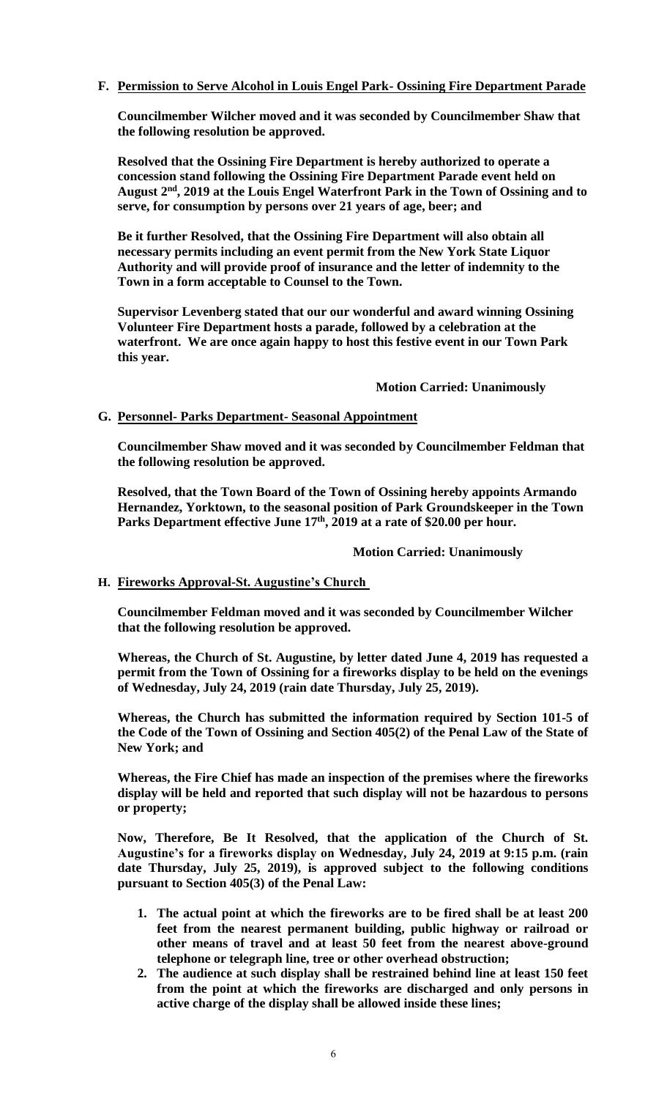# **F. Permission to Serve Alcohol in Louis Engel Park- Ossining Fire Department Parade**

**Councilmember Wilcher moved and it was seconded by Councilmember Shaw that the following resolution be approved.**

**Resolved that the Ossining Fire Department is hereby authorized to operate a concession stand following the Ossining Fire Department Parade event held on August 2nd, 2019 at the Louis Engel Waterfront Park in the Town of Ossining and to serve, for consumption by persons over 21 years of age, beer; and** 

**Be it further Resolved, that the Ossining Fire Department will also obtain all necessary permits including an event permit from the New York State Liquor Authority and will provide proof of insurance and the letter of indemnity to the Town in a form acceptable to Counsel to the Town.** 

**Supervisor Levenberg stated that our our wonderful and award winning Ossining Volunteer Fire Department hosts a parade, followed by a celebration at the waterfront. We are once again happy to host this festive event in our Town Park this year.**

### **Motion Carried: Unanimously**

### **G. Personnel- Parks Department- Seasonal Appointment**

**Councilmember Shaw moved and it was seconded by Councilmember Feldman that the following resolution be approved.**

**Resolved, that the Town Board of the Town of Ossining hereby appoints Armando Hernandez, Yorktown, to the seasonal position of Park Groundskeeper in the Town Parks Department effective June 17th, 2019 at a rate of \$20.00 per hour.**

#### **Motion Carried: Unanimously**

# **H. Fireworks Approval-St. Augustine's Church**

**Councilmember Feldman moved and it was seconded by Councilmember Wilcher that the following resolution be approved.**

**Whereas, the Church of St. Augustine, by letter dated June 4, 2019 has requested a permit from the Town of Ossining for a fireworks display to be held on the evenings of Wednesday, July 24, 2019 (rain date Thursday, July 25, 2019).**

**Whereas, the Church has submitted the information required by Section 101-5 of the Code of the Town of Ossining and Section 405(2) of the Penal Law of the State of New York; and**

**Whereas, the Fire Chief has made an inspection of the premises where the fireworks display will be held and reported that such display will not be hazardous to persons or property;**

**Now, Therefore, Be It Resolved, that the application of the Church of St. Augustine's for a fireworks display on Wednesday, July 24, 2019 at 9:15 p.m. (rain date Thursday, July 25, 2019), is approved subject to the following conditions pursuant to Section 405(3) of the Penal Law:**

- **1. The actual point at which the fireworks are to be fired shall be at least 200 feet from the nearest permanent building, public highway or railroad or other means of travel and at least 50 feet from the nearest above-ground telephone or telegraph line, tree or other overhead obstruction;**
- **2. The audience at such display shall be restrained behind line at least 150 feet from the point at which the fireworks are discharged and only persons in active charge of the display shall be allowed inside these lines;**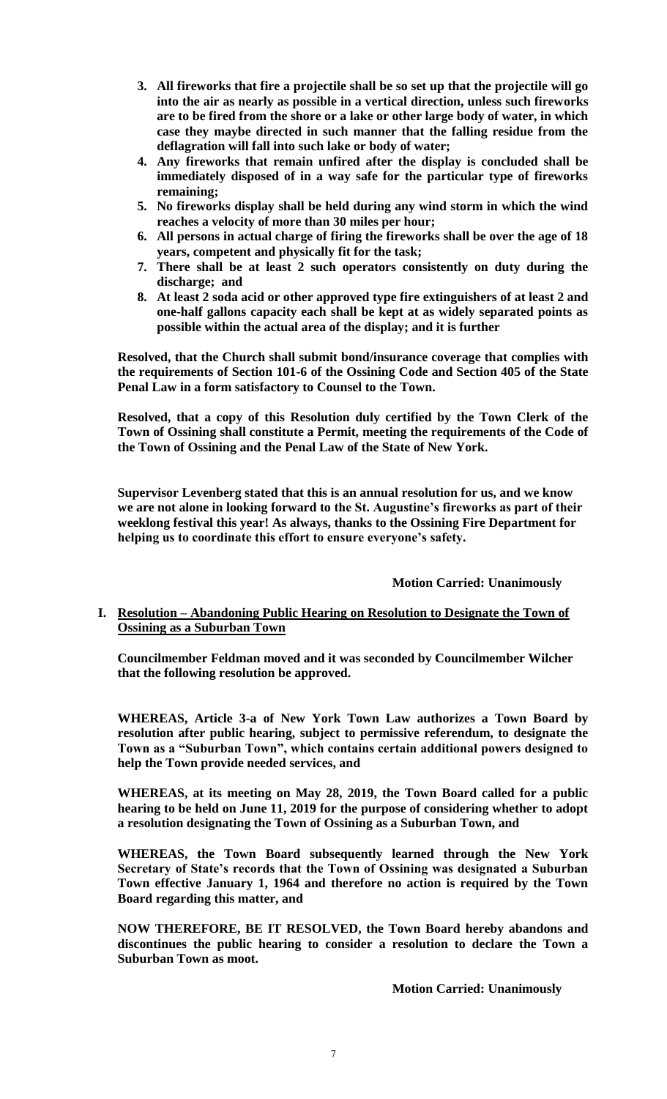- **3. All fireworks that fire a projectile shall be so set up that the projectile will go into the air as nearly as possible in a vertical direction, unless such fireworks are to be fired from the shore or a lake or other large body of water, in which case they maybe directed in such manner that the falling residue from the deflagration will fall into such lake or body of water;**
- **4. Any fireworks that remain unfired after the display is concluded shall be immediately disposed of in a way safe for the particular type of fireworks remaining;**
- **5. No fireworks display shall be held during any wind storm in which the wind reaches a velocity of more than 30 miles per hour;**
- **6. All persons in actual charge of firing the fireworks shall be over the age of 18 years, competent and physically fit for the task;**
- **7. There shall be at least 2 such operators consistently on duty during the discharge; and**
- **8. At least 2 soda acid or other approved type fire extinguishers of at least 2 and one-half gallons capacity each shall be kept at as widely separated points as possible within the actual area of the display; and it is further**

**Resolved, that the Church shall submit bond/insurance coverage that complies with the requirements of Section 101-6 of the Ossining Code and Section 405 of the State Penal Law in a form satisfactory to Counsel to the Town.**

**Resolved, that a copy of this Resolution duly certified by the Town Clerk of the Town of Ossining shall constitute a Permit, meeting the requirements of the Code of the Town of Ossining and the Penal Law of the State of New York.** 

**Supervisor Levenberg stated that this is an annual resolution for us, and we know we are not alone in looking forward to the St. Augustine's fireworks as part of their weeklong festival this year! As always, thanks to the Ossining Fire Department for helping us to coordinate this effort to ensure everyone's safety.**

# **Motion Carried: Unanimously**

# **I. Resolution – Abandoning Public Hearing on Resolution to Designate the Town of Ossining as a Suburban Town**

**Councilmember Feldman moved and it was seconded by Councilmember Wilcher that the following resolution be approved.**

**WHEREAS, Article 3-a of New York Town Law authorizes a Town Board by resolution after public hearing, subject to permissive referendum, to designate the Town as a "Suburban Town", which contains certain additional powers designed to help the Town provide needed services, and**

**WHEREAS, at its meeting on May 28, 2019, the Town Board called for a public hearing to be held on June 11, 2019 for the purpose of considering whether to adopt a resolution designating the Town of Ossining as a Suburban Town, and**

**WHEREAS, the Town Board subsequently learned through the New York Secretary of State's records that the Town of Ossining was designated a Suburban Town effective January 1, 1964 and therefore no action is required by the Town Board regarding this matter, and**

**NOW THEREFORE, BE IT RESOLVED, the Town Board hereby abandons and discontinues the public hearing to consider a resolution to declare the Town a Suburban Town as moot.**

**Motion Carried: Unanimously**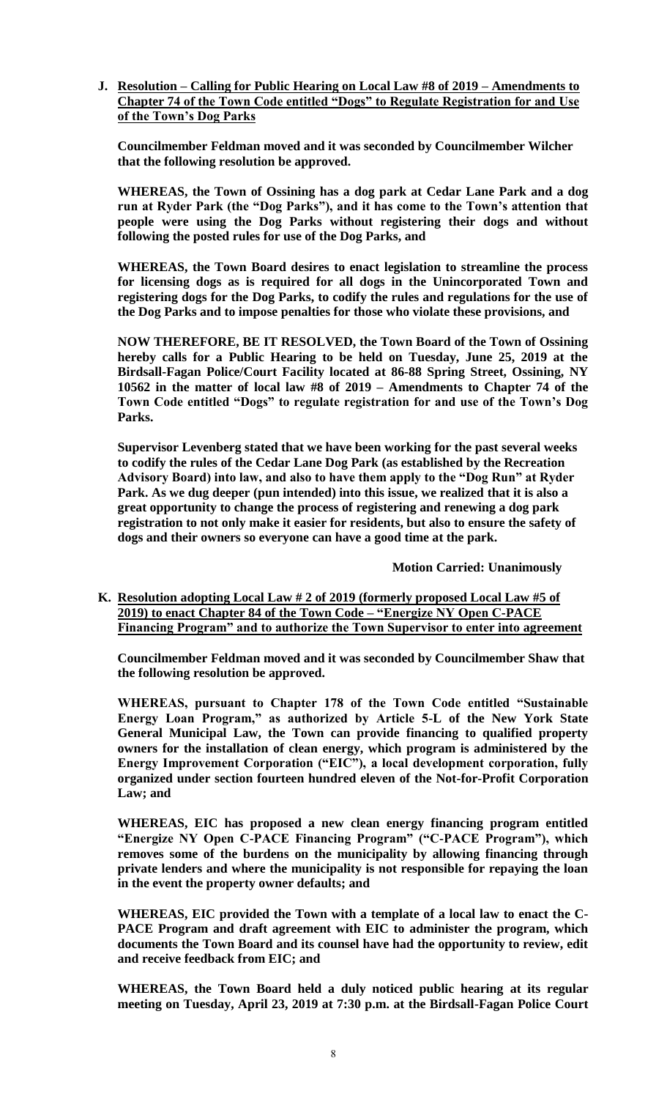**J. Resolution – Calling for Public Hearing on Local Law #8 of 2019 – Amendments to Chapter 74 of the Town Code entitled "Dogs" to Regulate Registration for and Use of the Town's Dog Parks**

**Councilmember Feldman moved and it was seconded by Councilmember Wilcher that the following resolution be approved.**

**WHEREAS, the Town of Ossining has a dog park at Cedar Lane Park and a dog run at Ryder Park (the "Dog Parks"), and it has come to the Town's attention that people were using the Dog Parks without registering their dogs and without following the posted rules for use of the Dog Parks, and**

**WHEREAS, the Town Board desires to enact legislation to streamline the process for licensing dogs as is required for all dogs in the Unincorporated Town and registering dogs for the Dog Parks, to codify the rules and regulations for the use of the Dog Parks and to impose penalties for those who violate these provisions, and**

**NOW THEREFORE, BE IT RESOLVED, the Town Board of the Town of Ossining hereby calls for a Public Hearing to be held on Tuesday, June 25, 2019 at the Birdsall-Fagan Police/Court Facility located at 86-88 Spring Street, Ossining, NY 10562 in the matter of local law #8 of 2019 – Amendments to Chapter 74 of the Town Code entitled "Dogs" to regulate registration for and use of the Town's Dog Parks.**

**Supervisor Levenberg stated that we have been working for the past several weeks to codify the rules of the Cedar Lane Dog Park (as established by the Recreation Advisory Board) into law, and also to have them apply to the "Dog Run" at Ryder Park. As we dug deeper (pun intended) into this issue, we realized that it is also a great opportunity to change the process of registering and renewing a dog park registration to not only make it easier for residents, but also to ensure the safety of dogs and their owners so everyone can have a good time at the park.**

**Motion Carried: Unanimously** 

**K. Resolution adopting Local Law # 2 of 2019 (formerly proposed Local Law #5 of 2019) to enact Chapter 84 of the Town Code – "Energize NY Open C-PACE Financing Program" and to authorize the Town Supervisor to enter into agreement**

**Councilmember Feldman moved and it was seconded by Councilmember Shaw that the following resolution be approved.**

**WHEREAS, pursuant to Chapter 178 of the Town Code entitled "Sustainable Energy Loan Program," as authorized by Article 5-L of the New York State General Municipal Law, the Town can provide financing to qualified property owners for the installation of clean energy, which program is administered by the Energy Improvement Corporation ("EIC"), a local development corporation, fully organized under section fourteen hundred eleven of the Not-for-Profit Corporation Law; and**

**WHEREAS, EIC has proposed a new clean energy financing program entitled "Energize NY Open C-PACE Financing Program" ("C-PACE Program"), which removes some of the burdens on the municipality by allowing financing through private lenders and where the municipality is not responsible for repaying the loan in the event the property owner defaults; and** 

**WHEREAS, EIC provided the Town with a template of a local law to enact the C-PACE Program and draft agreement with EIC to administer the program, which documents the Town Board and its counsel have had the opportunity to review, edit and receive feedback from EIC; and**

**WHEREAS, the Town Board held a duly noticed public hearing at its regular meeting on Tuesday, April 23, 2019 at 7:30 p.m. at the Birdsall-Fagan Police Court**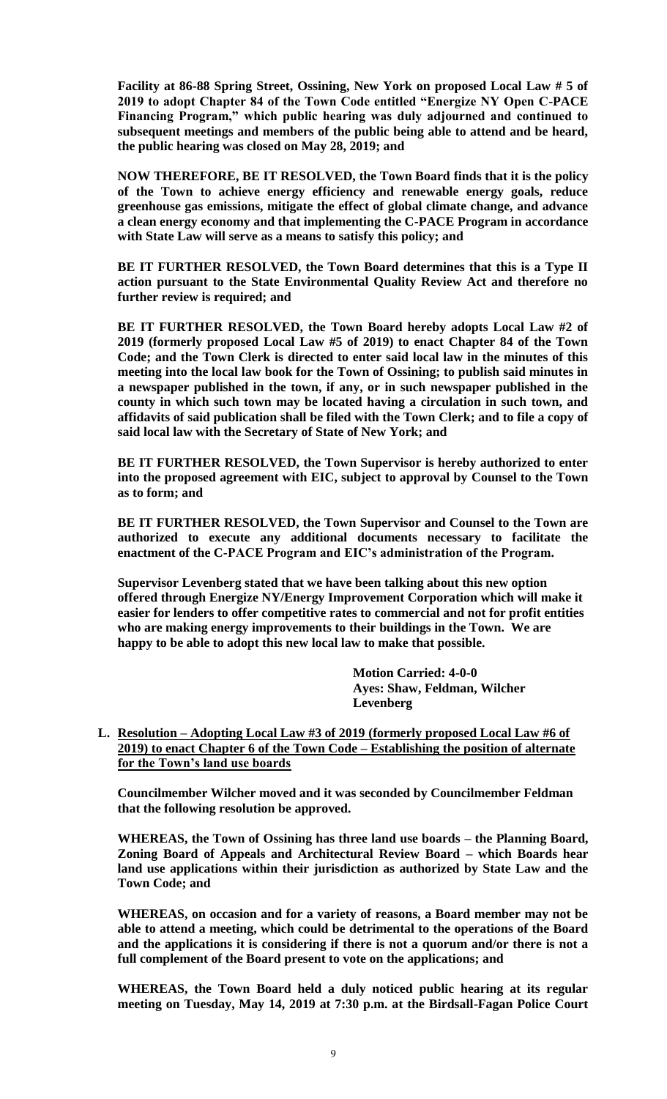**Facility at 86-88 Spring Street, Ossining, New York on proposed Local Law # 5 of 2019 to adopt Chapter 84 of the Town Code entitled "Energize NY Open C-PACE Financing Program," which public hearing was duly adjourned and continued to subsequent meetings and members of the public being able to attend and be heard, the public hearing was closed on May 28, 2019; and**

**NOW THEREFORE, BE IT RESOLVED, the Town Board finds that it is the policy of the Town to achieve energy efficiency and renewable energy goals, reduce greenhouse gas emissions, mitigate the effect of global climate change, and advance a clean energy economy and that implementing the C-PACE Program in accordance with State Law will serve as a means to satisfy this policy; and**

**BE IT FURTHER RESOLVED, the Town Board determines that this is a Type II action pursuant to the State Environmental Quality Review Act and therefore no further review is required; and** 

**BE IT FURTHER RESOLVED, the Town Board hereby adopts Local Law #2 of 2019 (formerly proposed Local Law #5 of 2019) to enact Chapter 84 of the Town Code; and the Town Clerk is directed to enter said local law in the minutes of this meeting into the local law book for the Town of Ossining; to publish said minutes in a newspaper published in the town, if any, or in such newspaper published in the county in which such town may be located having a circulation in such town, and affidavits of said publication shall be filed with the Town Clerk; and to file a copy of said local law with the Secretary of State of New York; and**

**BE IT FURTHER RESOLVED, the Town Supervisor is hereby authorized to enter into the proposed agreement with EIC, subject to approval by Counsel to the Town as to form; and**

**BE IT FURTHER RESOLVED, the Town Supervisor and Counsel to the Town are authorized to execute any additional documents necessary to facilitate the enactment of the C-PACE Program and EIC's administration of the Program.**

**Supervisor Levenberg stated that we have been talking about this new option offered through Energize NY/Energy Improvement Corporation which will make it easier for lenders to offer competitive rates to commercial and not for profit entities who are making energy improvements to their buildings in the Town. We are happy to be able to adopt this new local law to make that possible.**

> **Motion Carried: 4-0-0 Ayes: Shaw, Feldman, Wilcher Levenberg**

# **L. Resolution – Adopting Local Law #3 of 2019 (formerly proposed Local Law #6 of 2019) to enact Chapter 6 of the Town Code – Establishing the position of alternate for the Town's land use boards**

**Councilmember Wilcher moved and it was seconded by Councilmember Feldman that the following resolution be approved.**

**WHEREAS, the Town of Ossining has three land use boards – the Planning Board, Zoning Board of Appeals and Architectural Review Board – which Boards hear land use applications within their jurisdiction as authorized by State Law and the Town Code; and** 

**WHEREAS, on occasion and for a variety of reasons, a Board member may not be able to attend a meeting, which could be detrimental to the operations of the Board and the applications it is considering if there is not a quorum and/or there is not a full complement of the Board present to vote on the applications; and**

**WHEREAS, the Town Board held a duly noticed public hearing at its regular meeting on Tuesday, May 14, 2019 at 7:30 p.m. at the Birdsall-Fagan Police Court**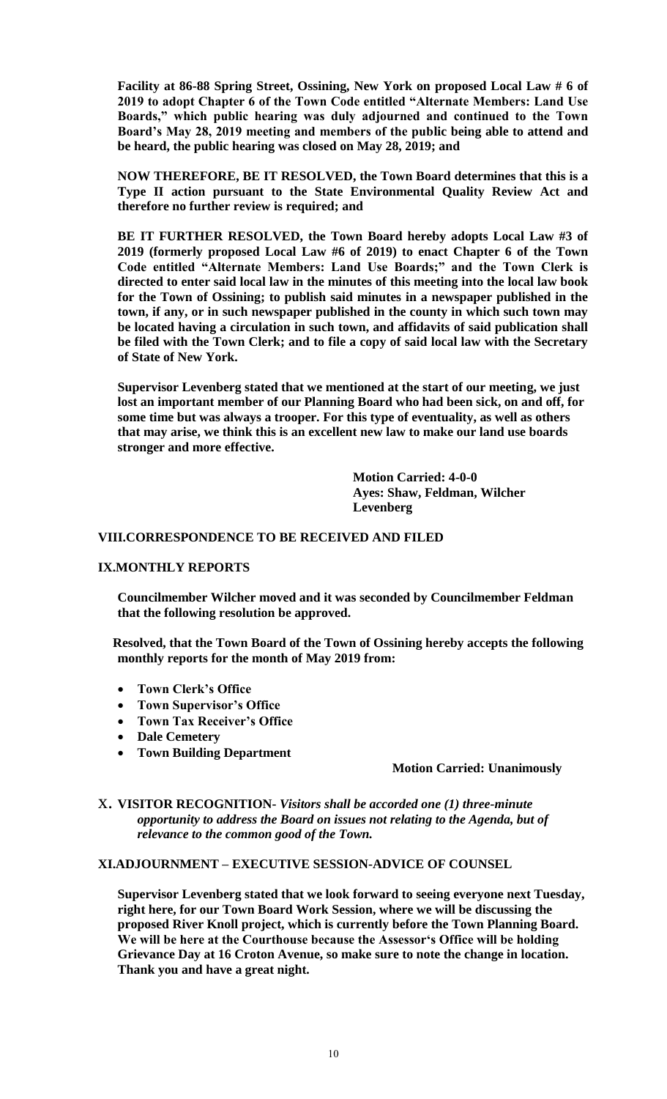**Facility at 86-88 Spring Street, Ossining, New York on proposed Local Law # 6 of 2019 to adopt Chapter 6 of the Town Code entitled "Alternate Members: Land Use Boards," which public hearing was duly adjourned and continued to the Town Board's May 28, 2019 meeting and members of the public being able to attend and be heard, the public hearing was closed on May 28, 2019; and**

**NOW THEREFORE, BE IT RESOLVED, the Town Board determines that this is a Type II action pursuant to the State Environmental Quality Review Act and therefore no further review is required; and** 

**BE IT FURTHER RESOLVED, the Town Board hereby adopts Local Law #3 of 2019 (formerly proposed Local Law #6 of 2019) to enact Chapter 6 of the Town Code entitled "Alternate Members: Land Use Boards;" and the Town Clerk is directed to enter said local law in the minutes of this meeting into the local law book for the Town of Ossining; to publish said minutes in a newspaper published in the town, if any, or in such newspaper published in the county in which such town may be located having a circulation in such town, and affidavits of said publication shall be filed with the Town Clerk; and to file a copy of said local law with the Secretary of State of New York.**

**Supervisor Levenberg stated that we mentioned at the start of our meeting, we just lost an important member of our Planning Board who had been sick, on and off, for some time but was always a trooper. For this type of eventuality, as well as others that may arise, we think this is an excellent new law to make our land use boards stronger and more effective.**

> **Motion Carried: 4-0-0 Ayes: Shaw, Feldman, Wilcher Levenberg**

### **VIII.CORRESPONDENCE TO BE RECEIVED AND FILED**

#### **IX.MONTHLY REPORTS**

**Councilmember Wilcher moved and it was seconded by Councilmember Feldman that the following resolution be approved.**

**Resolved, that the Town Board of the Town of Ossining hereby accepts the following monthly reports for the month of May 2019 from:**

- **Town Clerk's Office**
- **Town Supervisor's Office**
- **Town Tax Receiver's Office**
- **Dale Cemetery**
- **Town Building Department**

#### **Motion Carried: Unanimously**

x. **VISITOR RECOGNITION-** *Visitors shall be accorded one (1) three-minute opportunity to address the Board on issues not relating to the Agenda, but of relevance to the common good of the Town.*

# **XI.ADJOURNMENT – EXECUTIVE SESSION-ADVICE OF COUNSEL**

**Supervisor Levenberg stated that we look forward to seeing everyone next Tuesday, right here, for our Town Board Work Session, where we will be discussing the proposed River Knoll project, which is currently before the Town Planning Board. We will be here at the Courthouse because the Assessor's Office will be holding Grievance Day at 16 Croton Avenue, so make sure to note the change in location. Thank you and have a great night.**